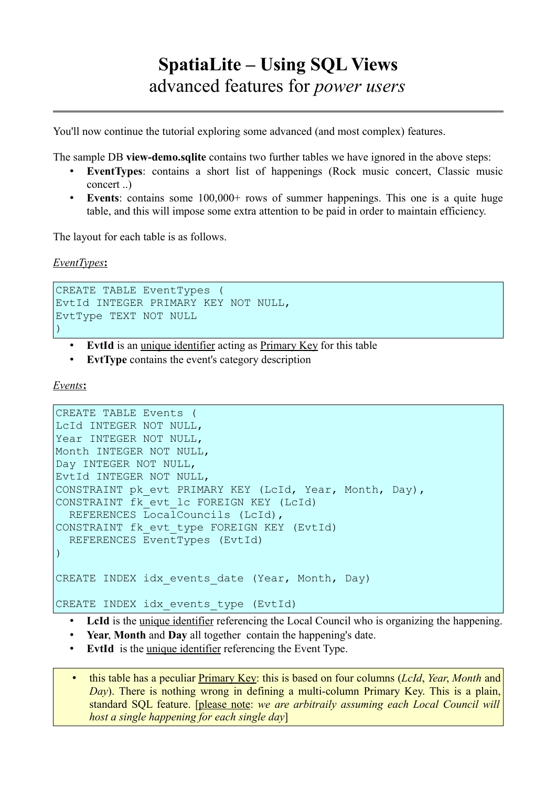You'll now continue the tutorial exploring some advanced (and most complex) features.

The sample DB **view-demo.sqlite** contains two further tables we have ignored in the above steps:

- **EventTypes**: contains a short list of happenings (Rock music concert, Classic music concert ..)
- **Events**: contains some 100,000+ rows of summer happenings. This one is a quite huge table, and this will impose some extra attention to be paid in order to maintain efficiency.

The layout for each table is as follows.

 *EventTypes* **:**

```
CREATE TABLE EventTypes (
EvtId INTEGER PRIMARY KEY NOT NULL,
EvtType TEXT NOT NULL
)
```
**EvtId** is an unique identifier acting as Primary Key for this table

**EvtType** contains the event's category description

 *Events* **:**

```
CREATE TABLE Events (
LcId INTEGER NOT NULL,
Year INTEGER NOT NULL,
Month INTEGER NOT NULL,
Day INTEGER NOT NULL,
EvtId INTEGER NOT NULL,
CONSTRAINT pk evt PRIMARY KEY (LcId, Year, Month, Day),
CONSTRAINT fk_evt_lc FOREIGN KEY (LcId) 
  REFERENCES LocalCouncils (LcId),
CONSTRAINT fk_evt_type FOREIGN KEY (EvtId) 
   REFERENCES EventTypes (EvtId)
)
CREATE INDEX idx events date (Year, Month, Day)
CREATE INDEX idx_events_type (EvtId)
```
- **LcId** is the unique identifier referencing the Local Council who is organizing the happening.
- **Year**, **Month** and **Day** all together contain the happening's date.
- **EvtId** is the unique identifier referencing the Event Type.

• this table has a peculiar Primary Key: this is based on four columns (*LcId*, *Year*, *Month* and *Day*). There is nothing wrong in defining a multi-column Primary Key. This is a plain, standard SQL feature. [please note: *we are arbitraily assuming each Local Council will host a single happening for each single day*]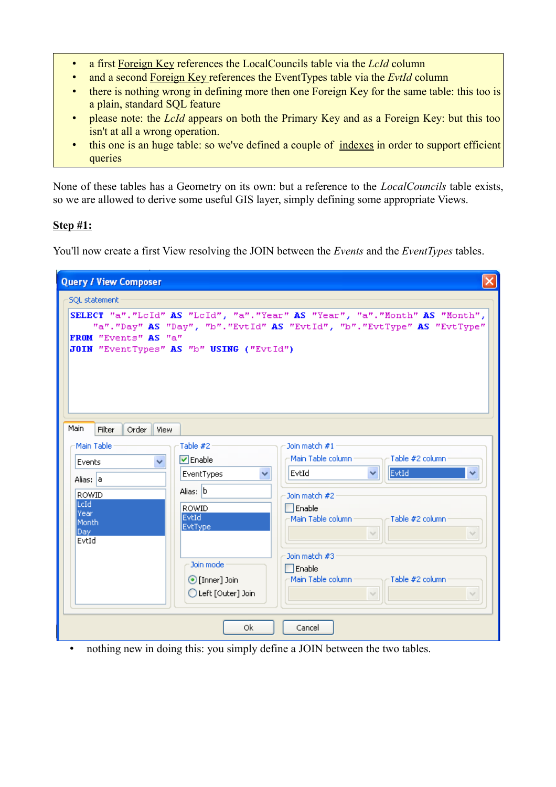- a first Foreign Key references the LocalCouncils table via the *LcId* column
- and a second Foreign Key references the EventTypes table via the *EvtId* column
- there is nothing wrong in defining more then one Foreign Key for the same table: this too is a plain, standard SQL feature
- please note: the *LcId* appears on both the Primary Key and as a Foreign Key: but this too isn't at all a wrong operation.
- this one is an huge table: so we've defined a couple of indexes in order to support efficient queries

None of these tables has a Geometry on its own: but a reference to the *LocalCouncils* table exists, so we are allowed to derive some useful GIS layer, simply defining some appropriate Views.

### **Step #1:**

You'll now create a first View resolving the JOIN between the *Events* and the *EventTypes* tables.

| <b>Query / View Composer</b>                                     |                     |                                                                                                                                                            |
|------------------------------------------------------------------|---------------------|------------------------------------------------------------------------------------------------------------------------------------------------------------|
| <b>SQL</b> statement                                             |                     |                                                                                                                                                            |
| FROM "Events" AS "a"<br>JOIN "EventTypes" AS "b" USING ("EvtId") |                     | SELECT "a". "LeId" AS "LeId", "a". "Year" AS "Year", "a". "Month" AS "Month",<br>"a". "Day" AS "Day", "b". "EvtId" AS "EvtId", "b". "EvtType" AS "EvtType" |
| Main<br>Filter<br>Order<br><b>View</b>                           |                     |                                                                                                                                                            |
| Main Table                                                       | Table #2            | Join match #1                                                                                                                                              |
| $\checkmark$<br>Events                                           | <b>▽</b> Enable     | Main Table column<br>Table #2 column                                                                                                                       |
| Alias: la                                                        | EventTypes<br>v     | EvtId<br>EvtId<br>v                                                                                                                                        |
| <b>ROWID</b>                                                     | Alias: b            | Join match #2                                                                                                                                              |
| lLcId.                                                           | <b>ROWID</b>        | $\Box$ Enable                                                                                                                                              |
| Year<br>Month                                                    | lEvtId.             | Main Table column<br>Table #2 column                                                                                                                       |
| Day:                                                             | <b>EvtType</b>      | $\sim$                                                                                                                                                     |
| EvtId                                                            |                     |                                                                                                                                                            |
|                                                                  | Join mode           | Join match #3                                                                                                                                              |
|                                                                  | ⊙ [Inner] Join      | $\Box$ Enable<br>Main Table column<br>Table #2 column                                                                                                      |
|                                                                  | C Left [Outer] Join |                                                                                                                                                            |
|                                                                  |                     |                                                                                                                                                            |
|                                                                  | Оk                  | Cancel                                                                                                                                                     |

• nothing new in doing this: you simply define a JOIN between the two tables.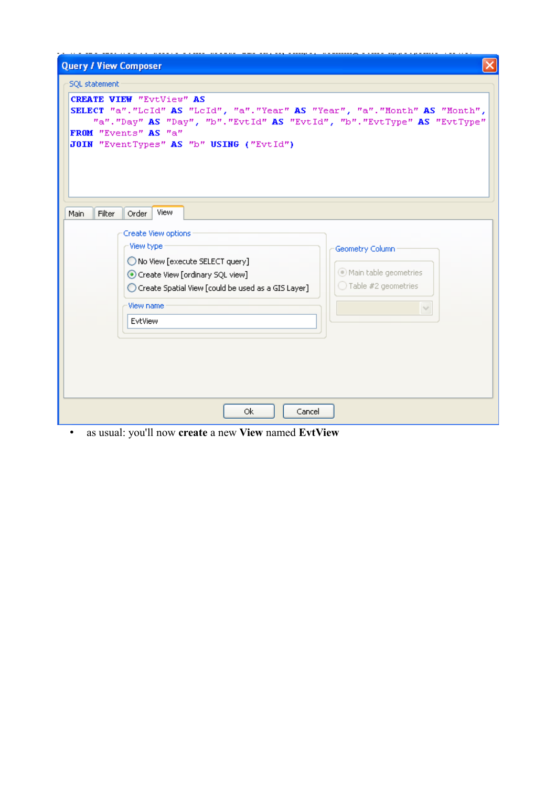| <b>Query / View Composer</b>                                                                                                                                                                                                                                                                         |
|------------------------------------------------------------------------------------------------------------------------------------------------------------------------------------------------------------------------------------------------------------------------------------------------------|
| <b>SQL statement</b>                                                                                                                                                                                                                                                                                 |
| <b>CREATE VIEW "EvtView" AS</b><br>SELECT "a". "LeId" AS "LeId", "a". "Year" AS "Year", "a". "Month" AS "Month",<br>"a". "Day" AS "Day", "b". "EvtId" AS "EvtId", "b". "EvtType" AS "EvtType"<br>FROM "Events" AS "a"<br>JOIN "EventTypes" AS "b" USING ("EvtId")<br>View<br>Main<br>Filter<br>Order |
| Create View options<br>View type<br>Geometry Column<br>◯ No View [execute SELECT query]<br>Main table geometries<br>Create View [ordinary SQL view]<br>$\bigcirc$ Table #2 geometries<br>◯ Create Spatial View [could be used as a GIS Layer]<br>View name<br>$\vee$<br><b>EvtView</b>               |
| 0k<br>Cancel                                                                                                                                                                                                                                                                                         |

• as usual: you'll now **create** a new **View** named **EvtView**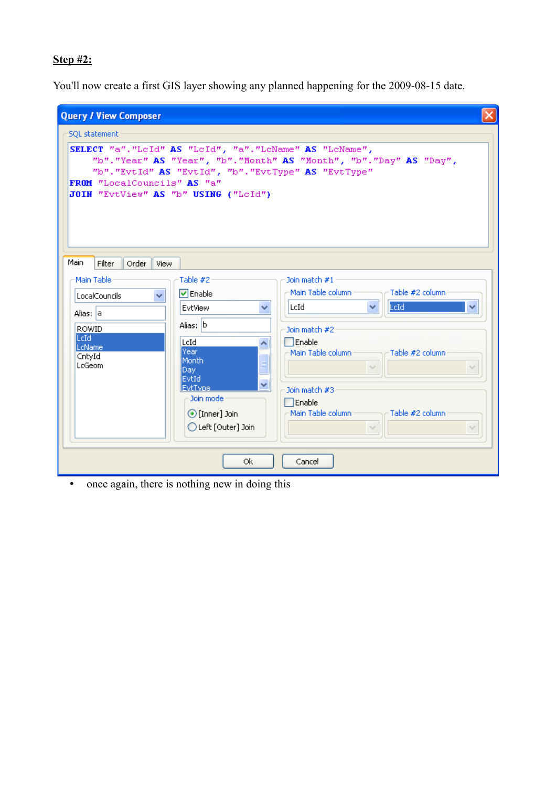### **Step #2:**

You'll now create a first GIS layer showing any planned happening for the 2009-08-15 date.



• once again, there is nothing new in doing this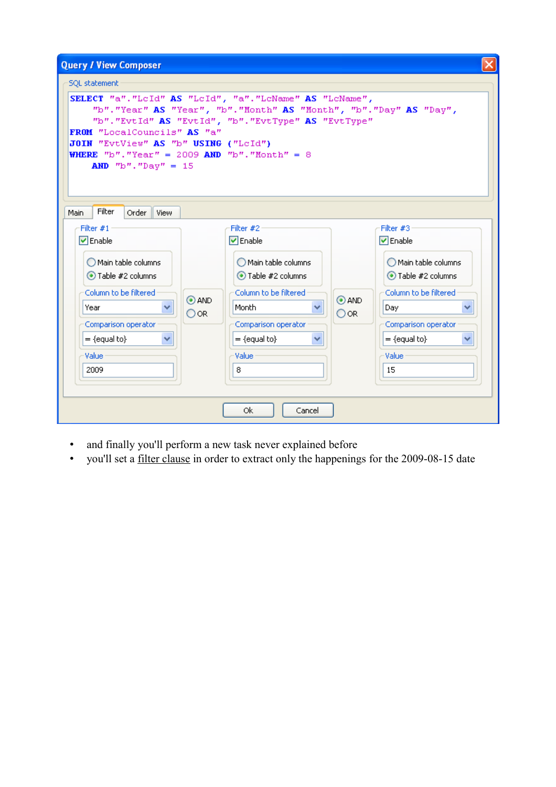| <b>Query / View Composer</b>                                                                                                                                                                                                                                                                                                                                                                                                                                                                                                                                                                        |  |
|-----------------------------------------------------------------------------------------------------------------------------------------------------------------------------------------------------------------------------------------------------------------------------------------------------------------------------------------------------------------------------------------------------------------------------------------------------------------------------------------------------------------------------------------------------------------------------------------------------|--|
| <b>SQL</b> statement                                                                                                                                                                                                                                                                                                                                                                                                                                                                                                                                                                                |  |
| SELECT "a". "LeId" AS "LeId", "a". "LeName" AS "LeName",<br>"b". "Year" AS "Year", "b". "Month" AS "Month", "b". "Day" AS "Day",<br>"b". "EvtId" AS "EvtId", "b". "EvtType" AS "EvtType"<br>FROM "LocalCouncils" AS "a"<br>JOIN "EvtView" AS "b" USING ("LeId")<br><b>WHERE</b> "b". "Year" = 2009 AND "b". "Month" = 8<br><b>AND</b> $"b"$ . $"Day" = 15$<br>Filter<br>Order<br>Main.<br><b>View</b>                                                                                                                                                                                               |  |
| Filter #3<br>Filter #1<br>Filter #2<br>$\triangledown$ Enable<br>$\triangledown$ Enable<br>$\triangledown$ Enable<br>Main table columns<br>Main table columns<br>Main table columns<br>Table #2 columns<br>⊙ Table #2 columns<br>⊙ Table #2 columns<br>Column to be filtered<br>Column to be filtered<br>Column to be filtered<br>$\odot$ AND<br><b>O</b> AND<br>Y<br>Y<br>Month.<br>Year<br>Day.<br>OOR<br>⊙or.<br>Comparison operator<br>Comparison operator<br>Comparison operator<br>$=$ {equal to}<br>v<br>$=$ {equal to}<br>$=$ {equal to}<br>v<br>Value<br>Value<br>Value<br>15<br>2009<br>8 |  |
| Оk<br>Cancel                                                                                                                                                                                                                                                                                                                                                                                                                                                                                                                                                                                        |  |

- and finally you'll perform a new task never explained before
- you'll set a <u>filter clause</u> in order to extract only the happenings for the 2009-08-15 date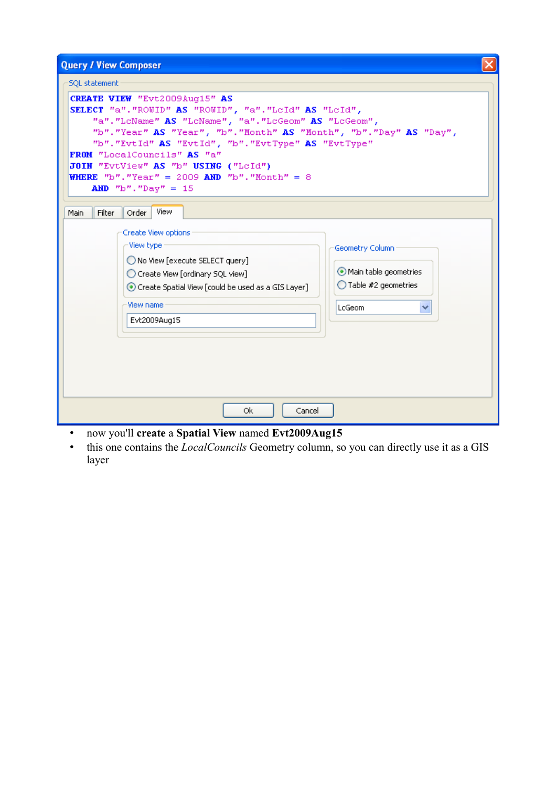| <b>Query / View Composer</b>                                                                                                                                                                                                                                                                                                                                                                                                                       |
|----------------------------------------------------------------------------------------------------------------------------------------------------------------------------------------------------------------------------------------------------------------------------------------------------------------------------------------------------------------------------------------------------------------------------------------------------|
| <b>SQL</b> statement                                                                                                                                                                                                                                                                                                                                                                                                                               |
| CREATE VIEW "Evt2009Aug15" AS<br>SELECT "a". "ROWID" AS "ROWID", "a". "LeId" AS "LeId",<br>"a". "LeName" AS "LeName", "a". "LeGeom" AS "LeGeom",<br>"b". "Year" AS "Year", "b". "Month" AS "Month", "b". "Day" AS "Day",<br>"b". "EvtId" AS "EvtId", "b". "EvtType" AS "EvtType"<br>FROM "LocalCouncils" AS "a"<br>JOIN "EvtView" AS "b" USING ("LeId")<br><b>WHERE</b> "b". "Year" = 2009 AND "b". "Month" = 8<br><b>AND</b> $"b"$ . $"bav" = 15$ |
| View<br>Filter<br>Order  <br>Main                                                                                                                                                                                                                                                                                                                                                                                                                  |
| Create View options<br>-View type<br>Geometry Column<br>◯ No View [execute SELECT query]<br>Main table geometries<br>Create View [ordinary SQL view]<br>$\bigcirc$ Table #2 geometries<br>Create Spatial View [could be used as a GIS Layer]<br>View name<br>LcGeom<br>v<br>Evt2009Aug15                                                                                                                                                           |
| Оk<br>Cancel                                                                                                                                                                                                                                                                                                                                                                                                                                       |

- now you'll **create** a **Spatial View** named **Evt2009Aug15**
- this one contains the *LocalCouncils* Geometry column, so you can directly use it as a GIS layer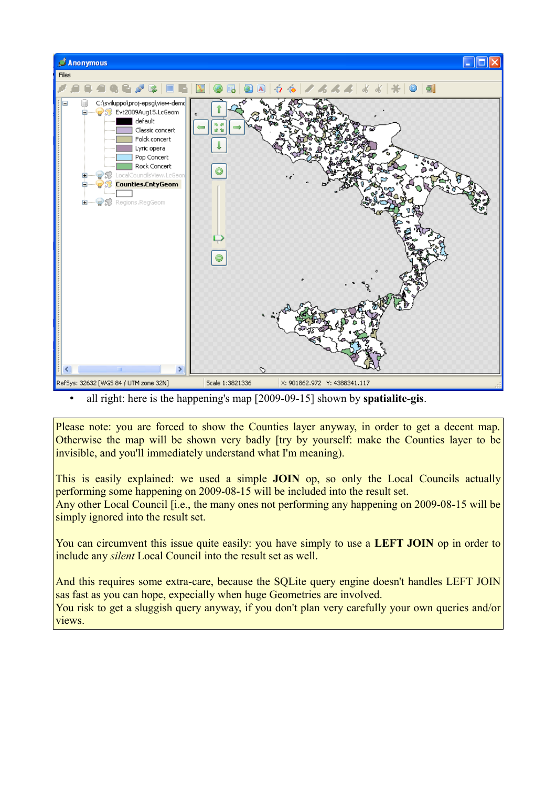

• all right: here is the happening's map [2009-09-15] shown by **spatialite-gis**.

Please note: you are forced to show the Counties layer anyway, in order to get a decent map. Otherwise the map will be shown very badly [try by yourself: make the Counties layer to be invisible, and you'll immediately understand what I'm meaning).

This is easily explained: we used a simple **JOIN** op, so only the Local Councils actually performing some happening on 2009-08-15 will be included into the result set. Any other Local Council [i.e., the many ones not performing any happening on 2009-08-15 will be simply ignored into the result set.

You can circumvent this issue quite easily: you have simply to use a **LEFT JOIN** op in order to include any *silent* Local Council into the result set as well.

And this requires some extra-care, because the SOLite query engine doesn't handles LEFT JOIN sas fast as you can hope, expecially when huge Geometries are involved. You risk to get a sluggish query anyway, if you don't plan very carefully your own queries and/or views.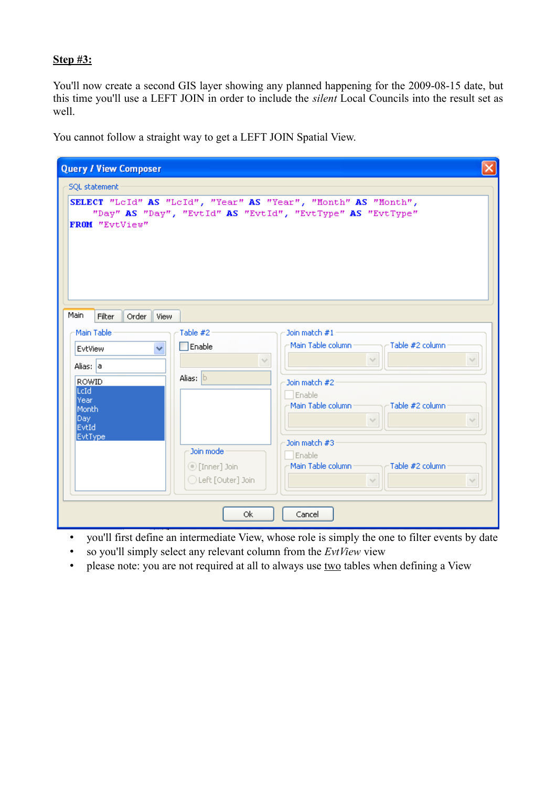## **Step #3:**

You'll now create a second GIS layer showing any planned happening for the 2009-08-15 date, but this time you'll use a LEFT JOIN in order to include the *silent* Local Councils into the result set as well.

You cannot follow a straight way to get a LEFT JOIN Spatial View.

| <b>Query / View Composer</b>                             |                                                    |                                                                                                                                         |  |
|----------------------------------------------------------|----------------------------------------------------|-----------------------------------------------------------------------------------------------------------------------------------------|--|
| <b>SQL statement</b>                                     |                                                    |                                                                                                                                         |  |
| FROM "EvtView"                                           |                                                    | SELECT "LeId" AS "LeId", "Year" AS "Year", "Month" AS "Month",<br>"Day" AS "Day", "EvtId" AS "EvtId", "EvtType" AS "EvtType"            |  |
| Main<br>Filter<br>Order                                  |                                                    |                                                                                                                                         |  |
| <b>View</b>                                              |                                                    |                                                                                                                                         |  |
| Main Table                                               | Table #2                                           | Join match #1                                                                                                                           |  |
| v<br>EvtView<br>Alias: a<br><b>ROWID</b><br>LcId<br>Year | Enable<br>Alias: b                                 | Table #2 column<br>Main Table column-<br>Join match #2<br>Enable                                                                        |  |
| Month.<br>Day:<br><b>EvtId</b><br>EvtType                | Join mode<br>◉ [Inner] Join<br>◯ Left [Outer] Join | Main Table column -<br>-Table #2 column<br>$\sim$<br>Join match #3<br>Enable<br>Main Table column:<br>-Table #2 column<br>$\mathcal{A}$ |  |
|                                                          | 0k                                                 | Cancel                                                                                                                                  |  |

- you'll first define an intermediate View, whose role is simply the one to filter events by date
- so you'll simply select any relevant column from the *EvtView* view
- please note: you are not required at all to always use <u>two</u> tables when defining a View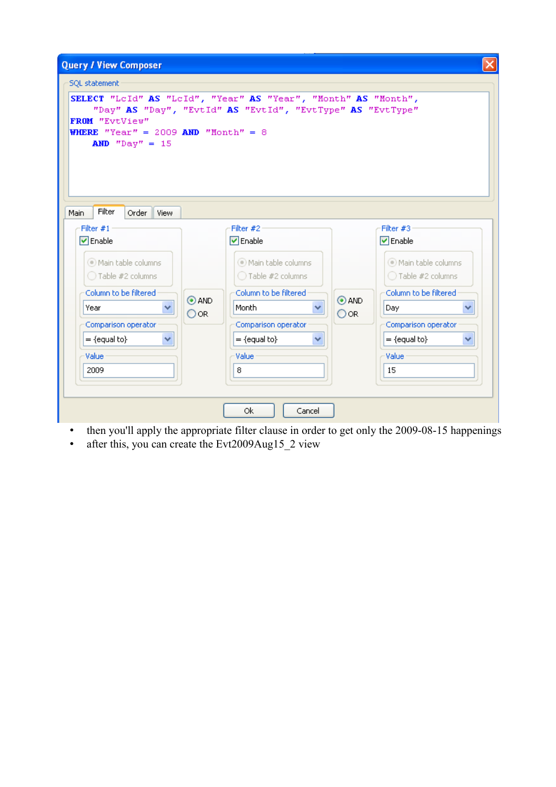| <b>SQL</b> statement<br>SELECT "LeId" AS "LeId", "Year" AS "Year", "Month" AS "Month",                                                                                                     |                      |                                                                                                                                                                                                    |                        |                                                                                                                                                                                              |
|--------------------------------------------------------------------------------------------------------------------------------------------------------------------------------------------|----------------------|----------------------------------------------------------------------------------------------------------------------------------------------------------------------------------------------------|------------------------|----------------------------------------------------------------------------------------------------------------------------------------------------------------------------------------------|
|                                                                                                                                                                                            |                      |                                                                                                                                                                                                    |                        |                                                                                                                                                                                              |
| FROM "EvtView"<br>WHERE "Year" = 2009 AND "Month" = 8<br>AND $"Day" = 15$<br>Filter<br>Order<br><b>Main</b><br><b>View</b>                                                                 |                      | "Day" AS "Day", "EvtId" AS "EvtId", "EvtType" AS "EvtType"                                                                                                                                         |                        |                                                                                                                                                                                              |
| Filter #1<br>$\nabla$ Enable<br>(.) Main table columns<br>$\bigcirc$ Table #2 columns<br>Column to be filtered<br>Year<br>×<br>Comparison operator<br>$=$ {equal to}<br>×<br>Value<br>2009 | $\odot$ AND<br>O OR. | Filter #2<br>$\boxed{\triangledown}$ Enable<br>(.) Main table columns<br>$\bigcirc$ Table #2 columns<br>Column to be filtered<br>Month<br>Comparison operator<br>$=$ {equal to}<br>×<br>Value<br>8 | ⊙ AND<br>$\bigcirc$ or | Filter #3<br>$\boxed{\triangledown}$ Enable<br>(.) Main table columns<br>$\bigcirc$ Table #2 columns<br>Column to be filtered<br>Day<br>Comparison operator<br>$=$ {equal to}<br>Value<br>15 |

- then you'll apply the appropriate filter clause in order to get only the 2009-08-15 happenings
- after this, you can create the Evt2009Aug15\_2 view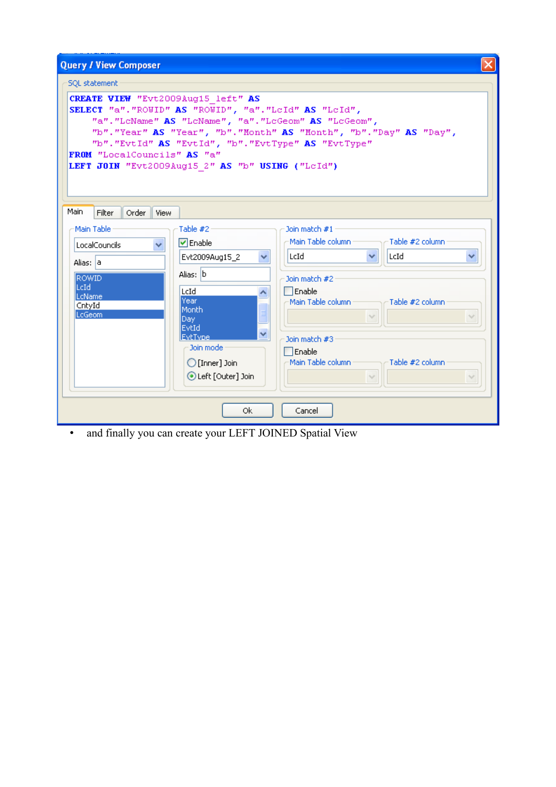| <b>Query / View Composer</b>                                                                                                                                                                                                                                                                                                                                                      |                                                         |
|-----------------------------------------------------------------------------------------------------------------------------------------------------------------------------------------------------------------------------------------------------------------------------------------------------------------------------------------------------------------------------------|---------------------------------------------------------|
| <b>SQL</b> statement                                                                                                                                                                                                                                                                                                                                                              |                                                         |
| CREATE VIEW "Evt2009Aug15 left" AS<br>SELECT "a". "ROWID" AS "ROWID", "a". "LeId" AS "LeId",<br>"a". "LeName" AS "LeName", "a". "LeGeom" AS "LeGeom",<br>"b". "Year" AS "Year", "b". "Month" AS "Month", "b". "Day" AS "Day",<br>"b". "EvtId" AS "EvtId", "b". "EvtType" AS "EvtType"<br>FROM "LocalCouncils" AS "a"<br>LEFT JOIN "Evt2009Aug15 2" AS "b" USING ("LeId")<br>Main. |                                                         |
| Filter<br>Order<br><b>View</b>                                                                                                                                                                                                                                                                                                                                                    |                                                         |
| Main Table<br>Table $#2$<br><b>▽</b> Enable                                                                                                                                                                                                                                                                                                                                       | Join match #1<br>Main Table column<br>Table #2 column   |
| LocalCouncils<br>v<br>Evt2009Aug15_2                                                                                                                                                                                                                                                                                                                                              | LcId<br>LcId                                            |
| Alias: a<br>Alias: b<br><b>ROWID</b><br>LcId.                                                                                                                                                                                                                                                                                                                                     | Join match #2                                           |
| LcId<br>LcName<br>Year.                                                                                                                                                                                                                                                                                                                                                           | $\Box$ Enable<br>Main Table column<br>Table #2 column   |
| CntyId<br>lMonth.<br>LcGeom                                                                                                                                                                                                                                                                                                                                                       |                                                         |
| Day:<br>EvtId<br>v                                                                                                                                                                                                                                                                                                                                                                |                                                         |
| EvtTvne<br>Join mode                                                                                                                                                                                                                                                                                                                                                              | Join match #3                                           |
| ◯ [Inner] Join                                                                                                                                                                                                                                                                                                                                                                    | $\Box$ Enable<br>Main Table column :<br>Table #2 column |
| Left [Outer] Join                                                                                                                                                                                                                                                                                                                                                                 |                                                         |
|                                                                                                                                                                                                                                                                                                                                                                                   |                                                         |
| Оk                                                                                                                                                                                                                                                                                                                                                                                | Cancel                                                  |

• and finally you can create your LEFT JOINED Spatial View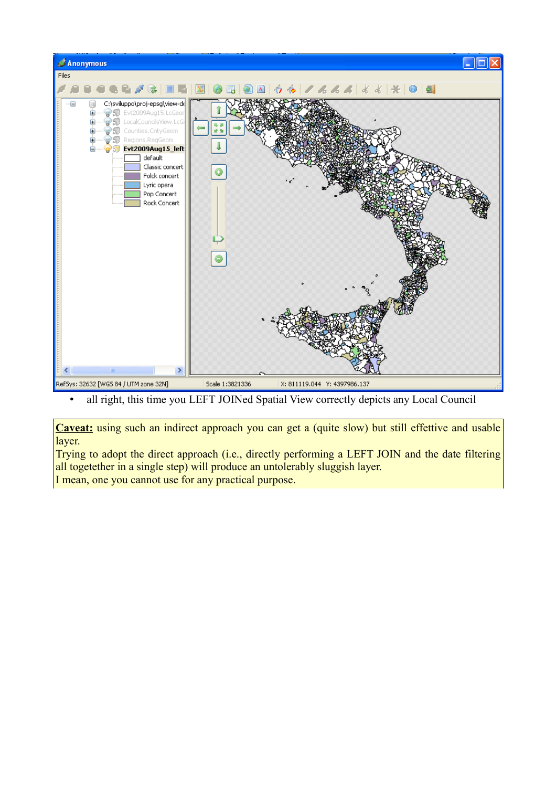

• all right, this time you LEFT JOINed Spatial View correctly depicts any Local Council

**Caveat:** using such an indirect approach you can get a (quite slow) but still effettive and usable layer.

Trying to adopt the direct approach (i.e., directly performing a LEFT JOIN and the date filtering all togetether in a single step) will produce an untolerably sluggish layer. I mean, one you cannot use for any practical purpose.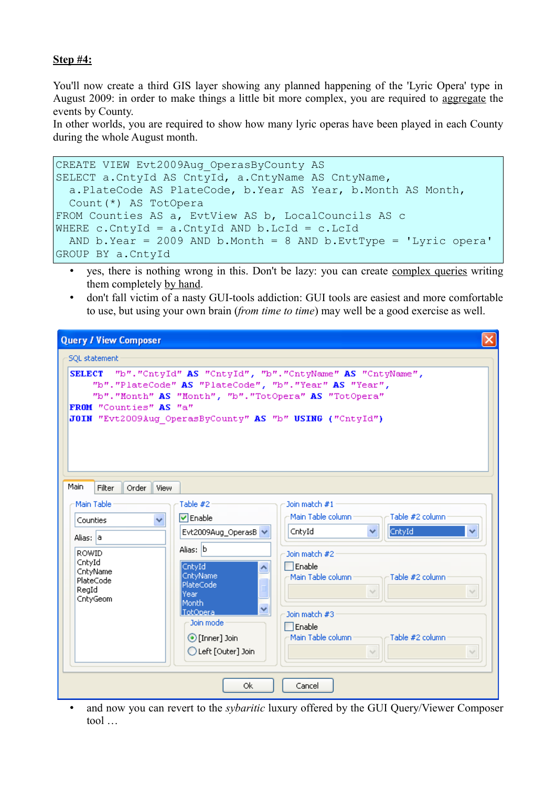## **Step #4:**

You'll now create a third GIS layer showing any planned happening of the 'Lyric Opera' type in August 2009: in order to make things a little bit more complex, you are required to aggregate the events by County.

In other worlds, you are required to show how many lyric operas have been played in each County during the whole August month.

```
CREATE VIEW Evt2009Aug_OperasByCounty AS
SELECT a.CntyId AS CntyId, a.CntyName AS CntyName, 
  a.PlateCode AS PlateCode, b.Year AS Year, b.Month AS Month,
  Count(*) AS TotOpera
FROM Counties AS a, EvtView AS b, LocalCouncils AS c
WHERE c.CntyId = a. CntyId AND b. LcId = c. LcId
  AND b.Year = 2009 AND b.Month = 8 AND b.EvtType = 'Lyric opera'
GROUP BY a.CntyId
```
- yes, there is nothing wrong in this. Don't be lazy: you can create complex queries writing them completely by hand.
- don't fall victim of a nasty GUI-tools addiction: GUI tools are easiest and more comfortable to use, but using your own brain (*from time to time*) may well be a good exercise as well.

 $\overline{\mathbf{x}}$ **Query / View Composer SOL** statement SELECT "b". "CntyId" AS "CntyId", "b". "CntyName" AS "CntyName", "b". "PlateCode" AS "PlateCode", "b". "Year" AS "Year", "b". "Month" AS "Month", "b". "TotOpera" AS "TotOpera" FROM "Counties" AS "a" JOIN "Evt2009Aug OperasByCounty" AS "b" USING ("CntyId") Main Filter Order View Main Table Table #2-Join match #1 Main Table column Table #2 column  $\nabla$  Enable Counties  $\ddotmark$ CntyId CntyId Evt2009Aug OperasB V  $\checkmark$ Alias: a Alias: b ROWID Join match #2 CntvId CntyId  $\Box$  Enable ۸ CntyName CntyName Main Table column Table #2 column **PlateCode** PlateCode Reald  $\vee$  $\sim$ Year CntyGeom Month TotOnera Join match #3 Join mode  $\Box$  Enable ⊙ [Inner] Join Main Table column Table #2 column O Left [Outer] Join  $\sim$  $\sim$ 0k Cancel

• and now you can revert to the *sybaritic* luxury offered by the GUI Query/Viewer Composer tool …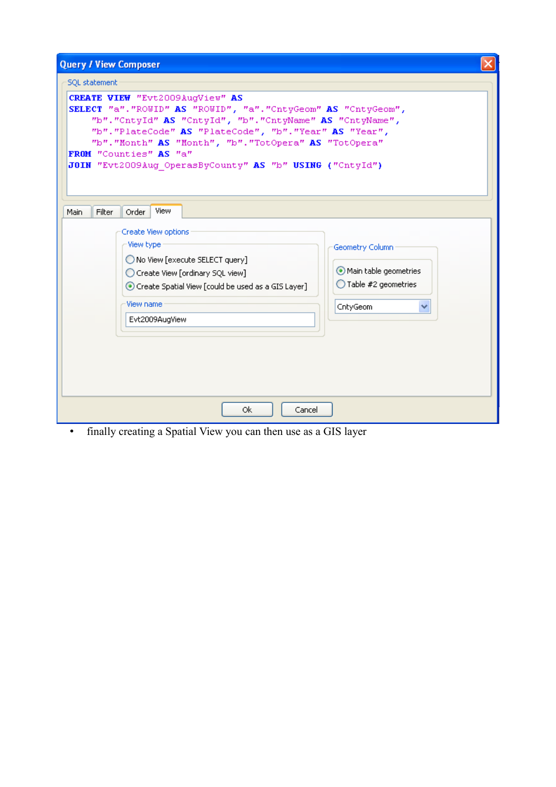| <b>Query / View Composer</b>                                                                                                                                                                                                                                                                                                                                              |
|---------------------------------------------------------------------------------------------------------------------------------------------------------------------------------------------------------------------------------------------------------------------------------------------------------------------------------------------------------------------------|
| <b>SQL statement</b>                                                                                                                                                                                                                                                                                                                                                      |
| CREATE VIEW "Evt2009AugView" AS<br>SELECT "a". "ROWID" AS "ROWID", "a". "CntyGeom" AS "CntyGeom",<br>"b". "CntyId" AS "CntyId", "b". "CntyName" AS "CntyName",<br>"b". "PlateCode" AS "PlateCode", "b". "Year" AS "Year",<br>"b". "Month" AS "Month", "b". "TotOpera" AS "TotOpera"<br>FROM "Counties" AS "a"<br>JOIN "Evt2009Aug OperasByCounty" AS "b" USING ("CntyId") |
| View<br>Filter<br>Main<br>Order                                                                                                                                                                                                                                                                                                                                           |
| Create View options<br>View type<br>Geometry Column<br>◯ No View [execute SELECT query]<br>Main table geometries<br>Create View [ordinary SQL view]<br>◯ Table #2 geometries<br>Create Spatial View [could be used as a GIS Layer]<br>View name<br>CntyGeom<br>v<br>Evt2009AugView                                                                                        |
| Οk<br>Cancel                                                                                                                                                                                                                                                                                                                                                              |

• finally creating a Spatial View you can then use as a GIS layer